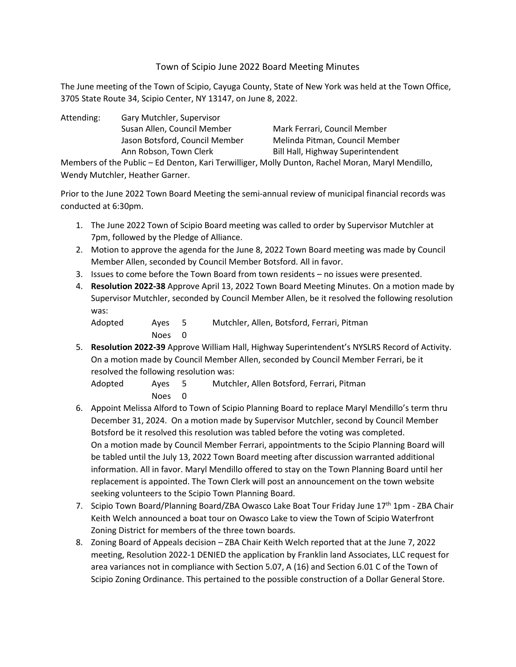# Town of Scipio June 2022 Board Meeting Minutes

The June meeting of the Town of Scipio, Cayuga County, State of New York was held at the Town Office, 3705 State Route 34, Scipio Center, NY 13147, on June 8, 2022.

Attending: Gary Mutchler, Supervisor Susan Allen, Council Member Mark Ferrari, Council Member Jason Botsford, Council Member Melinda Pitman, Council Member Ann Robson, Town Clerk Bill Hall, Highway Superintendent

Members of the Public – Ed Denton, Kari Terwilliger, Molly Dunton, Rachel Moran, Maryl Mendillo, Wendy Mutchler, Heather Garner.

Prior to the June 2022 Town Board Meeting the semi-annual review of municipal financial records was conducted at 6:30pm.

- 1. The June 2022 Town of Scipio Board meeting was called to order by Supervisor Mutchler at 7pm, followed by the Pledge of Alliance.
- 2. Motion to approve the agenda for the June 8, 2022 Town Board meeting was made by Council Member Allen, seconded by Council Member Botsford. All in favor.
- 3. Issues to come before the Town Board from town residents no issues were presented.
- 4. **Resolution 2022-38** Approve April 13, 2022 Town Board Meeting Minutes. On a motion made by Supervisor Mutchler, seconded by Council Member Allen, be it resolved the following resolution was:

| Adopted | Aves 5 | Mutchler, Allen, Botsford, Ferrari, Pitman |
|---------|--------|--------------------------------------------|
|         | Noes 0 |                                            |

5. **Resolution 2022-39** Approve William Hall, Highway Superintendent's NYSLRS Record of Activity. On a motion made by Council Member Allen, seconded by Council Member Ferrari, be it resolved the following resolution was:

Adopted Ayes 5 Mutchler, Allen Botsford, Ferrari, Pitman Noes 0

- 6. Appoint Melissa Alford to Town of Scipio Planning Board to replace Maryl Mendillo's term thru December 31, 2024. On a motion made by Supervisor Mutchler, second by Council Member Botsford be it resolved this resolution was tabled before the voting was completed. On a motion made by Council Member Ferrari, appointments to the Scipio Planning Board will be tabled until the July 13, 2022 Town Board meeting after discussion warranted additional information. All in favor. Maryl Mendillo offered to stay on the Town Planning Board until her replacement is appointed. The Town Clerk will post an announcement on the town website seeking volunteers to the Scipio Town Planning Board.
- 7. Scipio Town Board/Planning Board/ZBA Owasco Lake Boat Tour Friday June 17<sup>th</sup> 1pm ZBA Chair Keith Welch announced a boat tour on Owasco Lake to view the Town of Scipio Waterfront Zoning District for members of the three town boards.
- 8. Zoning Board of Appeals decision ZBA Chair Keith Welch reported that at the June 7, 2022 meeting, Resolution 2022-1 DENIED the application by Franklin land Associates, LLC request for area variances not in compliance with Section 5.07, A (16) and Section 6.01 C of the Town of Scipio Zoning Ordinance. This pertained to the possible construction of a Dollar General Store.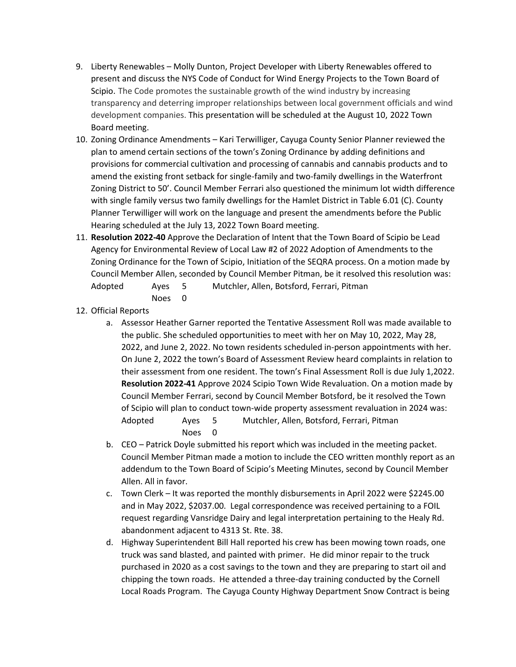- 9. Liberty Renewables Molly Dunton, Project Developer with Liberty Renewables offered to present and discuss the NYS Code of Conduct for Wind Energy Projects to the Town Board of Scipio. The Code promotes the sustainable growth of the wind industry by increasing transparency and deterring improper relationships between local government officials and wind development companies. This presentation will be scheduled at the August 10, 2022 Town Board meeting.
- 10. Zoning Ordinance Amendments Kari Terwilliger, Cayuga County Senior Planner reviewed the plan to amend certain sections of the town's Zoning Ordinance by adding definitions and provisions for commercial cultivation and processing of cannabis and cannabis products and to amend the existing front setback for single-family and two-family dwellings in the Waterfront Zoning District to 50'. Council Member Ferrari also questioned the minimum lot width difference with single family versus two family dwellings for the Hamlet District in Table 6.01 (C). County Planner Terwilliger will work on the language and present the amendments before the Public Hearing scheduled at the July 13, 2022 Town Board meeting.
- 11. **Resolution 2022-40** Approve the Declaration of Intent that the Town Board of Scipio be Lead Agency for Environmental Review of Local Law #2 of 2022 Adoption of Amendments to the Zoning Ordinance for the Town of Scipio, Initiation of the SEQRA process. On a motion made by Council Member Allen, seconded by Council Member Pitman, be it resolved this resolution was: Adopted Ayes 5 Mutchler, Allen, Botsford, Ferrari, Pitman
	- Noes 0
- 12. Official Reports
	- a. Assessor Heather Garner reported the Tentative Assessment Roll was made available to the public. She scheduled opportunities to meet with her on May 10, 2022, May 28, 2022, and June 2, 2022. No town residents scheduled in-person appointments with her. On June 2, 2022 the town's Board of Assessment Review heard complaints in relation to their assessment from one resident. The town's Final Assessment Roll is due July 1,2022. **Resolution 2022-41** Approve 2024 Scipio Town Wide Revaluation. On a motion made by Council Member Ferrari, second by Council Member Botsford, be it resolved the Town of Scipio will plan to conduct town-wide property assessment revaluation in 2024 was: Adopted Ayes 5 Mutchler, Allen, Botsford, Ferrari, Pitman Noes 0
	- b. CEO Patrick Doyle submitted his report which was included in the meeting packet. Council Member Pitman made a motion to include the CEO written monthly report as an addendum to the Town Board of Scipio's Meeting Minutes, second by Council Member Allen. All in favor.
	- c. Town Clerk It was reported the monthly disbursements in April 2022 were \$2245.00 and in May 2022, \$2037.00. Legal correspondence was received pertaining to a FOIL request regarding Vansridge Dairy and legal interpretation pertaining to the Healy Rd. abandonment adjacent to 4313 St. Rte. 38.
	- d. Highway Superintendent Bill Hall reported his crew has been mowing town roads, one truck was sand blasted, and painted with primer. He did minor repair to the truck purchased in 2020 as a cost savings to the town and they are preparing to start oil and chipping the town roads. He attended a three-day training conducted by the Cornell Local Roads Program. The Cayuga County Highway Department Snow Contract is being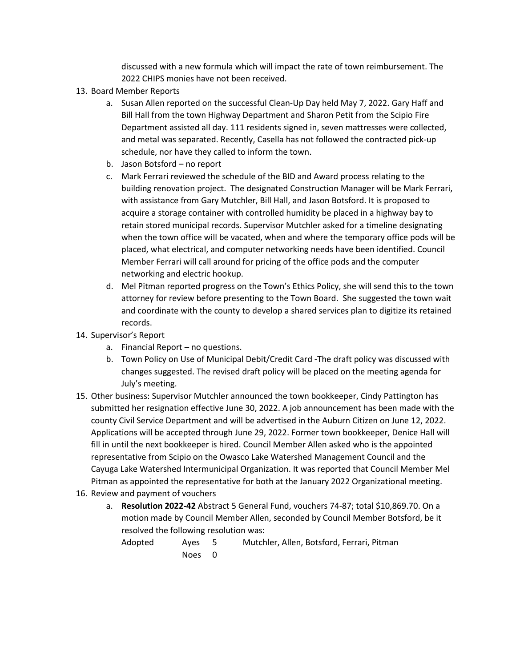discussed with a new formula which will impact the rate of town reimbursement. The 2022 CHIPS monies have not been received.

- 13. Board Member Reports
	- a. Susan Allen reported on the successful Clean-Up Day held May 7, 2022. Gary Haff and Bill Hall from the town Highway Department and Sharon Petit from the Scipio Fire Department assisted all day. 111 residents signed in, seven mattresses were collected, and metal was separated. Recently, Casella has not followed the contracted pick-up schedule, nor have they called to inform the town.
	- b. Jason Botsford no report
	- c. Mark Ferrari reviewed the schedule of the BID and Award process relating to the building renovation project. The designated Construction Manager will be Mark Ferrari, with assistance from Gary Mutchler, Bill Hall, and Jason Botsford. It is proposed to acquire a storage container with controlled humidity be placed in a highway bay to retain stored municipal records. Supervisor Mutchler asked for a timeline designating when the town office will be vacated, when and where the temporary office pods will be placed, what electrical, and computer networking needs have been identified. Council Member Ferrari will call around for pricing of the office pods and the computer networking and electric hookup.
	- d. Mel Pitman reported progress on the Town's Ethics Policy, she will send this to the town attorney for review before presenting to the Town Board. She suggested the town wait and coordinate with the county to develop a shared services plan to digitize its retained records.
- 14. Supervisor's Report
	- a. Financial Report no questions.
	- b. Town Policy on Use of Municipal Debit/Credit Card -The draft policy was discussed with changes suggested. The revised draft policy will be placed on the meeting agenda for July's meeting.
- 15. Other business: Supervisor Mutchler announced the town bookkeeper, Cindy Pattington has submitted her resignation effective June 30, 2022. A job announcement has been made with the county Civil Service Department and will be advertised in the Auburn Citizen on June 12, 2022. Applications will be accepted through June 29, 2022. Former town bookkeeper, Denice Hall will fill in until the next bookkeeper is hired. Council Member Allen asked who is the appointed representative from Scipio on the Owasco Lake Watershed Management Council and the Cayuga Lake Watershed Intermunicipal Organization. It was reported that Council Member Mel Pitman as appointed the representative for both at the January 2022 Organizational meeting.
- 16. Review and payment of vouchers
	- a. **Resolution 2022-42** Abstract 5 General Fund, vouchers 74-87; total \$10,869.70. On a motion made by Council Member Allen, seconded by Council Member Botsford, be it resolved the following resolution was:

Adopted Ayes 5 Mutchler, Allen, Botsford, Ferrari, Pitman Noes 0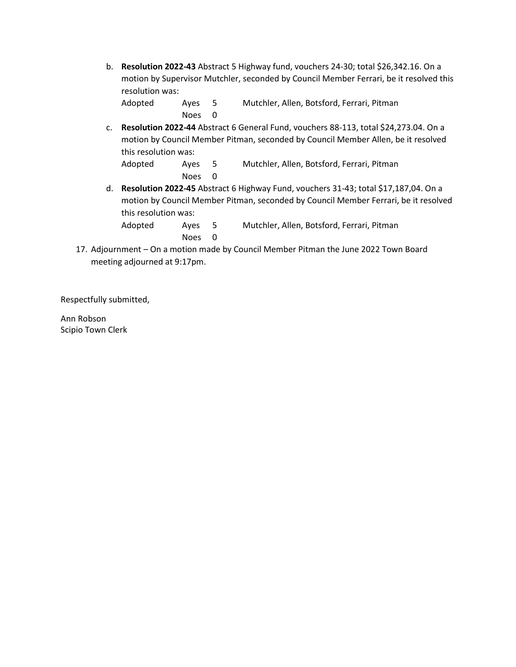b. **Resolution 2022-43** Abstract 5 Highway fund, vouchers 24-30; total \$26,342.16. On a motion by Supervisor Mutchler, seconded by Council Member Ferrari, be it resolved this resolution was:

Adopted Ayes 5 Mutchler, Allen, Botsford, Ferrari, Pitman Noes 0

c. **Resolution 2022-44** Abstract 6 General Fund, vouchers 88-113, total \$24,273.04. On a motion by Council Member Pitman, seconded by Council Member Allen, be it resolved this resolution was:

```
Adopted Ayes 5 Mutchler, Allen, Botsford, Ferrari, Pitman
Noes 0
```
d. **Resolution 2022-45** Abstract 6 Highway Fund, vouchers 31-43; total \$17,187,04. On a motion by Council Member Pitman, seconded by Council Member Ferrari, be it resolved this resolution was:

| Adopted | Aves 5 | Mutchler, Allen, Botsford, Ferrari, Pitman |
|---------|--------|--------------------------------------------|
|         | Noes 0 |                                            |

17. Adjournment – On a motion made by Council Member Pitman the June 2022 Town Board meeting adjourned at 9:17pm.

Respectfully submitted,

Ann Robson Scipio Town Clerk